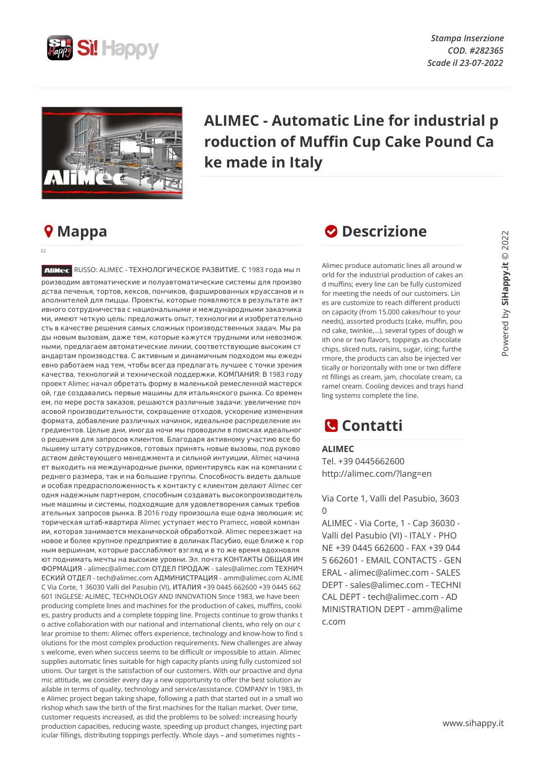

*Stampa Inserzione COD. #282365 Scade il 23-07-2022*



## **ALIMEC - Automatic Line for industrial p roduction of Muffin Cup Cake Pound Ca ke made in Italy**

## **Mappa**

 $\overline{a}$ 

**ALIMEC** RUSSO: ALIMEC - ТЕХНОЛОГИЧЕСКОЕ РАЗВИТИЕ. С 1983 года мы п роизводим автоматические и полуавтоматические системы для произво дства печенья, тортов, кексов, пончиков, фаршированных круассанов и н аполнителей для пиццы. Проекты, которые появляются в результате акт ивного сотрудничества с национальными и международными заказчика ми, имеют четкую цель: предложить опыт, технологии и изобретательно сть в качестве решения самых сложных производственных задач. Мы ра ды новым вызовам, даже тем, которые кажутся трудными или невозмож ными, предлагаем автоматические линии, соответствующие высоким ст андартам производства. С активным и динамичным подходом мы ежедн евно работаем над тем, чтобы всегда предлагать лучшее с точки зрения качества, технологий и технической поддержки. КОМПАНИЯ: В 1983 году проект Alimec начал обретать форму в маленькой ремесленной мастерск ой, где создавались первые машины для итальянского рынка. Со времен ем, по мере роста заказов, решаются различные задачи: увеличение поч асовой производительности, сокращение отходов, ускорение изменения формата, добавление различных начинок, идеальное распределение ин гредиентов. Целые дни, иногда ночи мы проводили в поисках идеальног о решения для запросов клиентов. Благодаря активному участию все бо льшему штату сотрудников, готовых принять новые вызовы, под руково дством действующего менеджмента и сильной интуиции, Alimec начина ет выходить на международные рынки, ориентируясь как на компании с реднего размера, так и на большие группы. Способность видеть дальше и особая предрасположенность к контакту с клиентом делают Alimec сег одня надежным партнером, способным создавать высокопроизводитель ные машины и системы, подходящие для удовлетворения самых требов ательных запросов рынка. В 2016 году произошла еще одна эволюция: ис торическая штаб-квартира Alimec уступает место Pramecc, новой компан ии, которая занимается механической обработкой. Alimec переезжает на новое и более крупное предприятие в долинах Пасубио, еще ближе к гор ным вершинам, которые расслабляют взгляд и в то же время вдохновля ют поднимать мечты на высокие уровни. Эл. почта КОНТАКТЫ ОБЩАЯ ИН ФОРМАЦИЯ - alimec@alimec.com ОТДЕЛ ПРОДАЖ - sales@alimec.com ТЕХНИЧ ЕСКИЙ ОТДЕЛ - tech@alimec.com АДМИНИСТРАЦИЯ - amm@alimec.com ALIME C Via Corte, 1 36030 Valli del Pasubio (VI), ИТАЛИЯ +39 0445 662600 +39 0445 662 601 INGLESE: ALIMEC, TECHNOLOGY AND INNOVATION Since 1983, we have been producing complete lines and machines for the production of cakes, muffins, cooki es, pastry products and a complete topping line. Projects continue to grow thanks t o active collaboration with our national and international clients, who rely on our c lear promise to them: Alimec offers experience, technology and know-how to find s olutions for the most complex production requirements. New challenges are alway s welcome, even when success seems to be difficult or impossible to attain. Alimec supplies automatic lines suitable for high capacity plants using fully customized sol utions. Our target is the satisfaction of our customers. With our proactive and dyna mic attitude, we consider every day a new opportunity to offer the best solution av ailable in terms of quality, technology and service/assistance. COMPANY In 1983, th e Alimec project began taking shape, following a path that started out in a small wo rkshop which saw the birth of the first machines for the Italian market. Over time, customer requests increased, as did the problems to be solved: increasing hourly production capacities, reducing waste, speeding up product changes, injecting part icular fillings, distributing toppings perfectly. Whole days – and sometimes nights –

## *O* Descrizione

Alimec produce automatic lines all around w orld for the industrial production of cakes an d muffins; every line can be fully customized for meeting the needs of our customers. Lin es are customize to reach different producti on capacity (from 15.000 cakes/hour to your needs), assorted products (cake, muffin, pou nd cake, twinkie,…), several types of dough w ith one or two flavors, toppings as chocolate chips, sliced nuts, raisins, sugar, icing; furthe rmore, the products can also be injected ver tically or horizontally with one or two differe nt fillings as cream, jam, chocolate cream, ca ramel cream. Cooling devices and trays hand ling systems complete the line.

## **Contatti**

**ALIMEC** Tel. +39 0445662600 http://alimec.com/?lang=en

Via Corte 1, Valli del Pasubio, 3603  $\Omega$ 

ALIMEC - Via Corte, 1 - Cap 36030 - Valli del Pasubio (VI) - ITALY - PHO NE +39 0445 662600 - FAX +39 044 5 662601 - EMAIL CONTACTS - GEN ERAL - alimec@alimec.com - SALES DEPT - sales@alimec.com - TECHNI CAL DEPT - tech@alimec.com - AD MINISTRATION DEPT - amm@alime c.com